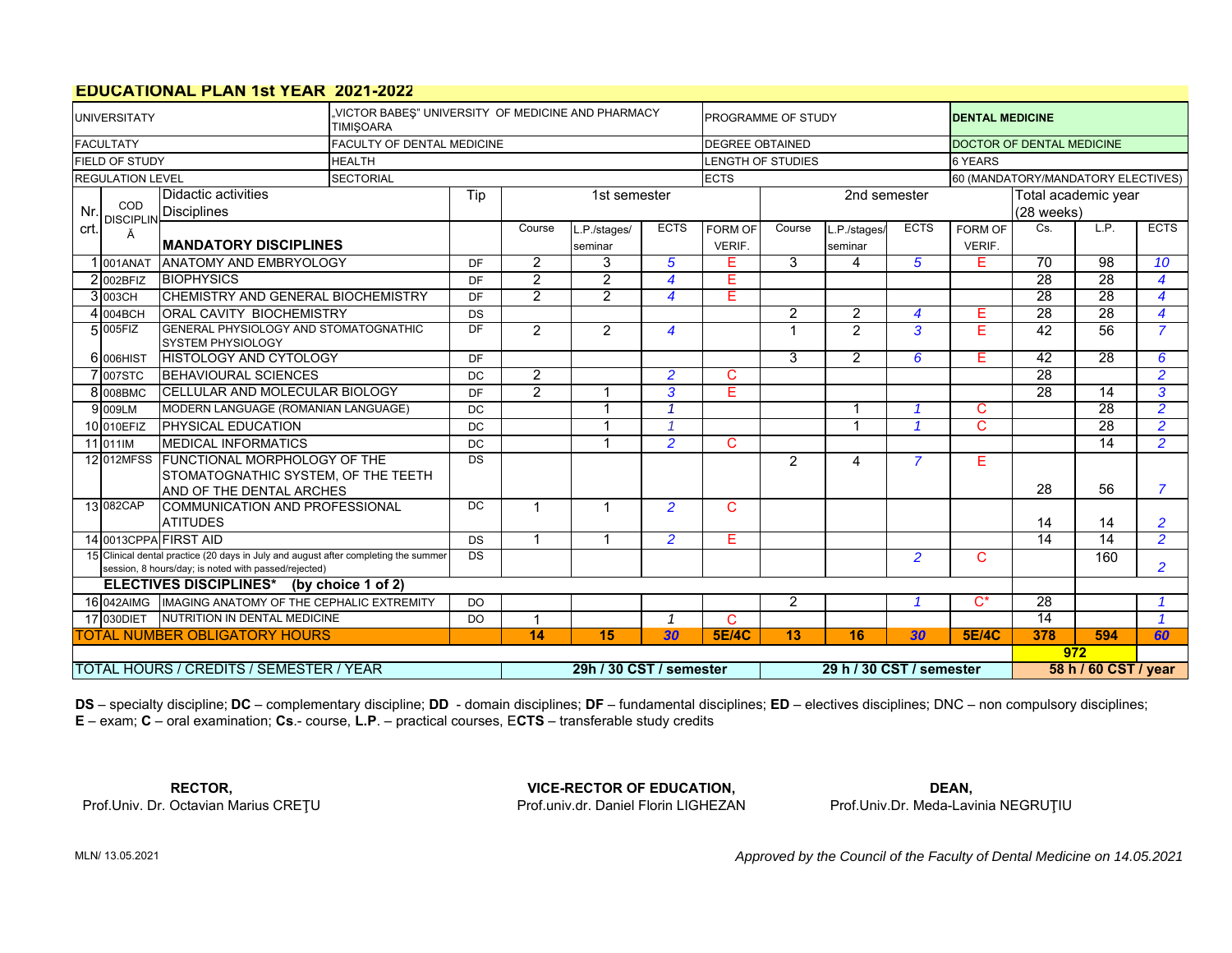# **EDUCATIONAL PLAN 1st YEAR 2021-2022**

|                                                                                                                                                          | VICTOR BABES" UNIVERSITY OF MEDICINE AND PHARMACY<br><b>UNIVERSITATY</b><br><b>TIMISOARA</b> |                                                                   |                                   |                     |                         |                |                          |                        | PROGRAMME OF STUDY       |                |                | <b>DENTAL MEDICINE</b>           |                             |                                    |                         |  |
|----------------------------------------------------------------------------------------------------------------------------------------------------------|----------------------------------------------------------------------------------------------|-------------------------------------------------------------------|-----------------------------------|---------------------|-------------------------|----------------|--------------------------|------------------------|--------------------------|----------------|----------------|----------------------------------|-----------------------------|------------------------------------|-------------------------|--|
|                                                                                                                                                          | <b>FACULTATY</b>                                                                             |                                                                   | <b>FACULTY OF DENTAL MEDICINE</b> |                     |                         |                |                          | <b>DEGREE OBTAINED</b> |                          |                |                | <b>DOCTOR OF DENTAL MEDICINE</b> |                             |                                    |                         |  |
|                                                                                                                                                          | FIELD OF STUDY                                                                               |                                                                   | <b>HEALTH</b>                     |                     |                         |                |                          |                        | <b>LENGTH OF STUDIES</b> |                |                | <b>6 YEARS</b>                   |                             |                                    |                         |  |
|                                                                                                                                                          | <b>REGULATION LEVEL</b>                                                                      |                                                                   | <b>SECTORIAL</b>                  |                     |                         |                |                          | <b>ECTS</b>            |                          |                |                |                                  |                             | 60 (MANDATORY/MANDATORY ELECTIVES) |                         |  |
|                                                                                                                                                          |                                                                                              | Didactic activities                                               |                                   | Tip<br>1st semester |                         |                |                          |                        |                          | 2nd semester   |                | Total academic year              |                             |                                    |                         |  |
| Nr.                                                                                                                                                      | COD<br><b>DISCIPLIN</b>                                                                      | <b>Disciplines</b>                                                |                                   |                     |                         |                |                          |                        |                          |                |                |                                  |                             |                                    |                         |  |
|                                                                                                                                                          | crt.<br>Ă                                                                                    |                                                                   |                                   |                     | Course                  | .P./stages/    | <b>ECTS</b>              | <b>FORM OF</b>         | Course                   | P./stages/     | <b>ECTS</b>    | FORM OF                          | Cs.                         | LP.                                | <b>ECTS</b>             |  |
|                                                                                                                                                          |                                                                                              | <b>IMANDATORY DISCIPLINES</b>                                     |                                   |                     |                         | seminar        |                          | VERIF.                 |                          | seminar        |                | VERIF.                           |                             |                                    |                         |  |
|                                                                                                                                                          | 1 001ANAT                                                                                    | <b>ANATOMY AND EMBRYOLOGY</b>                                     |                                   | <b>DF</b>           | 2                       | 3              | 5                        | E                      | 3                        | 4              | 5              | E                                | $\overline{70}$             | $\overline{98}$                    | 10 <sup>1</sup>         |  |
|                                                                                                                                                          | 2 002BFIZ                                                                                    | <b>BIOPHYSICS</b>                                                 |                                   | <b>DF</b>           | $\overline{2}$          | $\overline{2}$ | $\overline{4}$           | Е                      |                          |                |                |                                  | $\overline{28}$             | $\overline{28}$                    | $\overline{\mathbf{4}}$ |  |
|                                                                                                                                                          | <b>CHEMISTRY AND GENERAL BIOCHEMISTRY</b><br>3003CH                                          |                                                                   |                                   | DF.                 | $\overline{2}$          | $\overline{2}$ | $\overline{\mathbf{4}}$  | Е                      |                          |                |                |                                  | 28                          | 28                                 | $\overline{4}$          |  |
|                                                                                                                                                          | <b>ORAL CAVITY BIOCHEMISTRY</b><br>4 004 BCH                                                 |                                                                   |                                   | DS                  |                         |                |                          |                        | $\overline{2}$           | $\overline{2}$ | 4              | E.                               | 28                          | 28                                 | $\overline{4}$          |  |
|                                                                                                                                                          | 5 005FIZ                                                                                     | GENERAL PHYSIOLOGY AND STOMATOGNATHIC<br><b>SYSTEM PHYSIOLOGY</b> |                                   | DF                  | 2                       | $\overline{2}$ | $\overline{\mathbf{4}}$  |                        | $\mathbf{1}$             | 2              | 3              | F                                | 42                          | 56                                 | $\overline{7}$          |  |
|                                                                                                                                                          | 6 006HIST                                                                                    | <b>HISTOLOGY AND CYTOLOGY</b>                                     |                                   |                     |                         |                |                          |                        | 3                        | 2              | 6              | F                                | $\overline{42}$             | $\overline{28}$                    | 6                       |  |
|                                                                                                                                                          | 7 007STC                                                                                     | <b>BEHAVIOURAL SCIENCES</b>                                       |                                   |                     | $\overline{2}$          |                | $\overline{2}$           | C                      |                          |                |                |                                  | $\overline{28}$             |                                    | $\overline{2}$          |  |
|                                                                                                                                                          | 8 008BMC                                                                                     | <b>CELLULAR AND MOLECULAR BIOLOGY</b>                             |                                   | <b>DF</b>           | $\overline{2}$          | 1              | 3                        | Е                      |                          |                |                |                                  | 28                          | $\overline{14}$                    | 3                       |  |
|                                                                                                                                                          | 9 009LM                                                                                      | MODERN LANGUAGE (ROMANIAN LANGUAGE)                               |                                   | DC                  |                         |                | $\overline{1}$           |                        |                          | -1             |                | C                                |                             | $\overline{28}$                    | $\overline{2}$          |  |
|                                                                                                                                                          | 10 010EFIZ                                                                                   | PHYSICAL EDUCATION                                                |                                   | <b>DC</b>           |                         | 1              | 4                        |                        |                          | 1              |                | C                                |                             | 28                                 | $\overline{2}$          |  |
|                                                                                                                                                          | 11 011 IM                                                                                    | <b>MEDICAL INFORMATICS</b>                                        |                                   | <b>DC</b>           |                         | 1              | $\overline{2}$           | C                      |                          |                |                |                                  |                             | 14                                 | $\overline{2}$          |  |
|                                                                                                                                                          |                                                                                              | 12 012MFSS FUNCTIONAL MORPHOLOGY OF THE                           |                                   | DS                  |                         |                |                          |                        | $\overline{2}$           | $\overline{4}$ | $\overline{7}$ | Е                                |                             |                                    |                         |  |
|                                                                                                                                                          |                                                                                              | STOMATOGNATHIC SYSTEM. OF THE TEETH<br>AND OF THE DENTAL ARCHES   |                                   |                     |                         |                |                          |                        |                          |                |                |                                  | 28                          | 56                                 | $\overline{7}$          |  |
|                                                                                                                                                          | 13 082CAP                                                                                    | COMMUNICATION AND PROFESSIONAL                                    |                                   | DC                  | $\blacktriangleleft$    | 1              | $\overline{2}$           | C                      |                          |                |                |                                  |                             |                                    |                         |  |
|                                                                                                                                                          |                                                                                              | <b>ATITUDES</b>                                                   |                                   |                     |                         |                |                          |                        |                          |                |                |                                  | 14                          | 14                                 | $\overline{2}$          |  |
|                                                                                                                                                          |                                                                                              | 14 0013CPPA FIRST AID                                             |                                   | <b>DS</b>           | $\overline{1}$          | 1              | $\overline{2}$           | Е                      |                          |                |                |                                  | $\overline{14}$             | $\overline{14}$                    | $\overline{2}$          |  |
| 15 Clinical dental practice (20 days in July and august after completing the summer<br><b>DS</b><br>session, 8 hours/day; is noted with passed/rejected) |                                                                                              |                                                                   |                                   |                     |                         |                |                          |                        |                          |                | $\overline{2}$ | $\mathsf{C}$                     |                             | 160                                | $\overline{2}$          |  |
|                                                                                                                                                          |                                                                                              | ELECTIVES DISCIPLINES* (by choice 1 of 2)                         |                                   |                     |                         |                |                          |                        |                          |                |                |                                  |                             |                                    |                         |  |
| 16 042AIMG   IMAGING ANATOMY OF THE CEPHALIC EXTREMITY<br>DO                                                                                             |                                                                                              |                                                                   |                                   |                     |                         |                |                          |                        | $\overline{2}$           |                |                | $C^*$                            | $\overline{28}$             |                                    | $\overline{1}$          |  |
| 17 030 DIET NUTRITION IN DENTAL MEDICINE<br><b>DO</b>                                                                                                    |                                                                                              |                                                                   |                                   |                     | $\blacktriangleleft$    |                | $\overline{1}$           | C                      |                          |                |                |                                  | $\overline{14}$             |                                    | $\overline{\mathbf{1}}$ |  |
|                                                                                                                                                          |                                                                                              | <b>TOTAL NUMBER OBLIGATORY HOURS</b>                              |                                   | 14                  | 15                      | 30             | <b>5E/4C</b>             | 13                     | 16                       | 30             | <b>5E/4C</b>   | 378                              | 594                         | 60                                 |                         |  |
|                                                                                                                                                          |                                                                                              |                                                                   |                                   |                     |                         |                |                          |                        |                          |                |                |                                  | 972<br>58 h / 60 CST / year |                                    |                         |  |
|                                                                                                                                                          |                                                                                              | <b>TOTAL HOURS / CREDITS / SEMESTER / YEAR</b>                    |                                   |                     | 29h / 30 CST / semester |                | 29 h / 30 CST / semester |                        |                          |                |                |                                  |                             |                                    |                         |  |

**DS** – specialty discipline; **DC** – complementary discipline; **DD** - domain disciplines; **DF** – fundamental disciplines; **ED** – electives disciplines; DNC – non compulsory disciplines; **E** – exam; **C** – oral examination; **Cs**.- course, **L.P**. – practical courses, E**CTS** – transferable study credits

Prof.Univ. Dr. Octavian Marius CREŢU **RECTOR,**

Prof.univ.dr. Daniel Florin LIGHEZAN**VICE-RECTOR OF EDUCATION,**

Prof.Univ.Dr. Meda-Lavinia NEGRUŢIU **DEAN,**

MLN/ 13.05.2021

*Approved by the Council of the Faculty of Dental Medicine on 14.05.2021*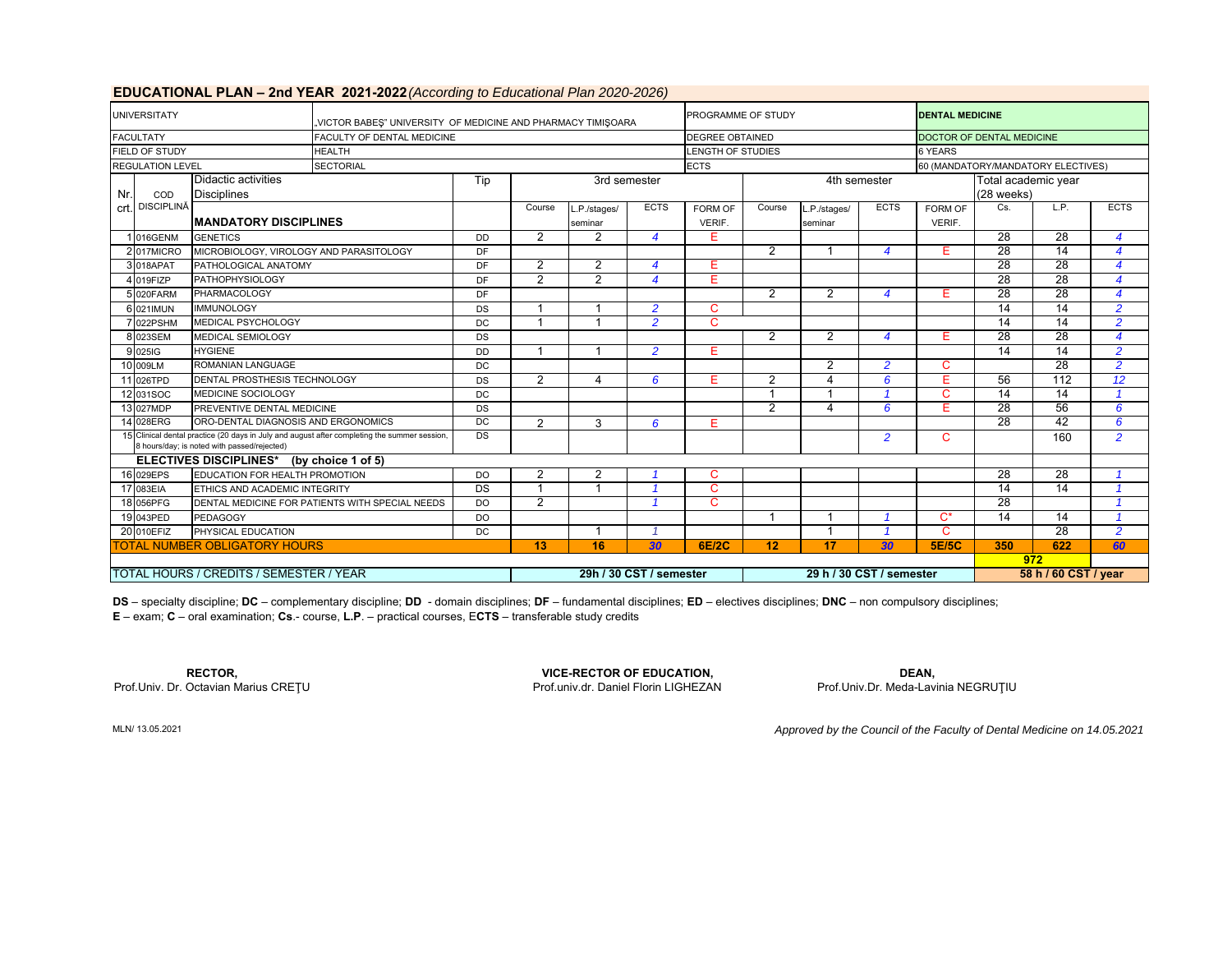|      | <b>UNIVERSITATY</b>                                          |                                             | <b>EDUCATIONAL FLAN - ZIIU TEAN ZUZ I-ZUZZ (</b> ACCORING IO EQUCADORI FRITZUZU-ZUZU)        |                |                         |                |                          | PROGRAMME OF STUDY     |                |                |                      | <b>DENTAL MEDICINE</b>    |                                    |                 |                  |  |
|------|--------------------------------------------------------------|---------------------------------------------|----------------------------------------------------------------------------------------------|----------------|-------------------------|----------------|--------------------------|------------------------|----------------|----------------|----------------------|---------------------------|------------------------------------|-----------------|------------------|--|
|      |                                                              |                                             | "VICTOR BABES" UNIVERSITY OF MEDICINE AND PHARMACY TIMIŞOARA                                 |                |                         |                |                          |                        |                |                |                      | DOCTOR OF DENTAL MEDICINE |                                    |                 |                  |  |
|      | <b>FACULTATY</b>                                             |                                             | FACULTY OF DENTAL MEDICINE                                                                   |                |                         |                |                          | <b>DEGREE OBTAINED</b> |                |                |                      |                           |                                    |                 |                  |  |
|      | <b>FIELD OF STUDY</b><br><b>HEALTH</b>                       |                                             |                                                                                              |                |                         |                |                          | LENGTH OF STUDIES      |                |                |                      | 6 YEARS                   |                                    |                 |                  |  |
|      | <b>REGULATION LEVEL</b>                                      |                                             | <b>SECTORIAL</b>                                                                             |                |                         |                |                          | <b>ECTS</b>            |                |                |                      |                           | 60 (MANDATORY/MANDATORY ELECTIVES) |                 |                  |  |
|      |                                                              | Didactic activities                         |                                                                                              | Tip            | 3rd semester            |                |                          |                        |                | 4th semester   |                      | Total academic year       |                                    |                 |                  |  |
| Nr.I | COD                                                          | <b>Disciplines</b>                          |                                                                                              |                |                         |                |                          |                        |                |                |                      |                           | $(28$ weeks)                       |                 |                  |  |
|      | crt. DISCIPLINĂ                                              |                                             |                                                                                              |                | Course                  | L.P./stages/   | <b>ECTS</b>              | FORM OF                | Course         | .P./stages/    | <b>ECTS</b>          | FORM OF                   | Cs.                                | L.P.            | <b>ECTS</b>      |  |
|      |                                                              | <b>MANDATORY DISCIPLINES</b>                |                                                                                              |                |                         | seminar        |                          | VERIF.                 |                | seminar        |                      | <b>VERIF.</b>             |                                    |                 |                  |  |
|      | 016GENM<br><b>GENETICS</b>                                   |                                             |                                                                                              | <b>DD</b>      | $\overline{2}$          | $\overline{2}$ | $\overline{A}$           | Е                      |                |                |                      |                           | $\overline{28}$                    | $\overline{28}$ | $\boldsymbol{4}$ |  |
|      | 2017MICRO                                                    | MICROBIOLOGY, VIROLOGY AND PARASITOLOGY     |                                                                                              | DF             |                         |                |                          |                        | $\overline{2}$ |                | 4                    | Е                         | 28                                 | $\overline{14}$ | $\boldsymbol{4}$ |  |
|      | 3 018APAT                                                    | PATHOLOGICAL ANATOMY                        |                                                                                              | DF             | $\overline{2}$          | 2              | 4                        | Е                      |                |                |                      |                           | 28                                 | 28              | $\boldsymbol{4}$ |  |
|      | <b>PATHOPHYSIOLOGY</b><br>$019F$ <sub>IZP</sub>              |                                             |                                                                                              | DF             | $\overline{2}$          | 2              | $\overline{\mathbf{4}}$  | Е                      |                |                |                      |                           | 28                                 | 28              | $\boldsymbol{4}$ |  |
|      | PHARMACOLOGY<br>5 020 FARM                                   |                                             |                                                                                              | DF             |                         |                |                          |                        | 2              | $\overline{2}$ | 4                    | Е                         | $\overline{28}$                    | $\overline{28}$ | $\boldsymbol{4}$ |  |
|      | <b>IMMUNOLOGY</b><br>6 021 MUN                               |                                             | DS                                                                                           | $\overline{1}$ |                         | $\overline{2}$ | C                        |                        |                |                |                      | $\overline{14}$           | $\overline{14}$                    | $\overline{2}$  |                  |  |
|      | MEDICAL PSYCHOLOGY<br>022PSHM                                |                                             |                                                                                              | DC             |                         |                | $\overline{2}$           | $\mathsf{C}$           |                |                |                      |                           | $\overline{14}$                    | 14              | $\overline{2}$   |  |
|      | 8 023SEM                                                     | <b>MEDICAL SEMIOLOGY</b>                    |                                                                                              | <b>DS</b>      |                         |                |                          |                        | 2              | $\overline{2}$ | 4                    | E.                        | 28                                 | 28              | $\boldsymbol{4}$ |  |
|      | 9 025 G                                                      | <b>HYGIENE</b>                              |                                                                                              | <b>DD</b>      | 1                       |                | $\overline{2}$           | Е                      |                |                |                      |                           | $\overline{14}$                    | 14              | $\overline{2}$   |  |
|      | 10 009LM                                                     | ROMANIAN LANGUAGE                           |                                                                                              | <b>DC</b>      |                         |                |                          |                        |                | 2              | $\overline{a}$       | C                         |                                    | 28              | $\overline{2}$   |  |
|      | 11 026TPD                                                    | <b>DENTAL PROSTHESIS TECHNOLOGY</b>         |                                                                                              | DS             | $\overline{2}$          | $\overline{4}$ | 6                        | Е                      | 2              | Δ              | 6                    | Е                         | 56                                 | 112             | 12               |  |
|      | 12 031SOC                                                    | MEDICINE SOCIOLOGY                          |                                                                                              | DC             |                         |                |                          |                        |                |                |                      | C                         | 14                                 | $\overline{14}$ | $\overline{1}$   |  |
|      | 13 027MDP                                                    | PREVENTIVE DENTAL MEDICINE                  |                                                                                              | DS             |                         |                |                          |                        | $\overline{2}$ | 4              | 6                    | Е                         | 28                                 | 56              | 6                |  |
|      | 14 028ERG                                                    | ORO-DENTAL DIAGNOSIS AND ERGONOMICS         |                                                                                              | DC             | $\overline{2}$          | 3              | 6                        | Е                      |                |                |                      |                           | $\overline{28}$                    | 42              | 6                |  |
|      |                                                              | 8 hours/day; is noted with passed/rejected) | 15 Clinical dental practice (20 days in July and august after completing the summer session, | DS             |                         |                |                          |                        |                |                | $\overline{2}$       | $\mathsf{C}$              |                                    | 160             | $\overline{2}$   |  |
|      |                                                              | ELECTIVES DISCIPLINES* (by choice 1 of 5)   |                                                                                              |                |                         |                |                          |                        |                |                |                      |                           |                                    |                 |                  |  |
|      | 16 029EPS                                                    | EDUCATION FOR HEALTH PROMOTION              |                                                                                              | <b>DO</b>      | 2                       | 2              |                          | C                      |                |                |                      |                           | 28                                 | 28              |                  |  |
|      | 17 083EIA<br>ETHICS AND ACADEMIC INTEGRITY                   |                                             |                                                                                              | <b>DS</b>      | 1                       | 1              |                          | C                      |                |                |                      |                           | $\overline{14}$                    | $\overline{14}$ | $\overline{1}$   |  |
|      | 18 056PFG<br>DENTAL MEDICINE FOR PATIENTS WITH SPECIAL NEEDS |                                             | DO.                                                                                          | $\overline{2}$ |                         |                | C                        |                        |                |                |                      | $\overline{28}$           |                                    |                 |                  |  |
|      | 19 043PED                                                    | <b>PEDAGOGY</b>                             |                                                                                              | <b>DO</b>      |                         |                |                          |                        | -1             |                |                      | $C^*$                     | $\overline{14}$                    | 14              | $\overline{1}$   |  |
|      | 20 010EFIZ<br>PHYSICAL EDUCATION                             |                                             |                                                                                              | DC             |                         |                |                          |                        |                |                |                      | C                         |                                    | 28              | $\overline{2}$   |  |
|      | <b>TOTAL NUMBER OBLIGATORY HOURS</b>                         |                                             |                                                                                              |                | 13                      | 16             | 30                       | <b>6E/2C</b>           | 12             | 17             | 30                   | <b>5E/5C</b>              | 350                                | 622             | 60               |  |
|      |                                                              |                                             |                                                                                              |                |                         |                |                          |                        |                |                |                      |                           | 972                                |                 |                  |  |
|      |                                                              | TOTAL HOURS / CREDITS / SEMESTER / YEAR     |                                                                                              |                | 29h / 30 CST / semester |                | 29 h / 30 CST / semester |                        |                |                | 58 h / 60 CST / year |                           |                                    |                 |                  |  |

# **EDUCATIONAL PLAN – 2nd YEAR 2021-2022** *(According to Educational Plan 2020-2026)*

**E** – exam; **C** – oral examination; **Cs**.- course, **L.P**. – practical courses, E**CTS** – transferable study credits **DS** – specialty discipline; **DC** – complementary discipline; **DD** - domain disciplines; **DF** – fundamental disciplines; **ED** – electives disciplines; **DNC** – non compulsory disciplines;

Prof.Univ. Dr. Octavian Marius CREŢU

**RECTOR, VICE-RECTOR OF EDUCATION, DEAN,** Prof.univ.dr. Daniel Florin LIGHEZAN

Prof.Univ.Dr. Meda-Lavinia NEGRUŢIU

*Approved by the Council of the Faculty of Dental Medicine on 14.05.2021*

MLN/ 13.05.2021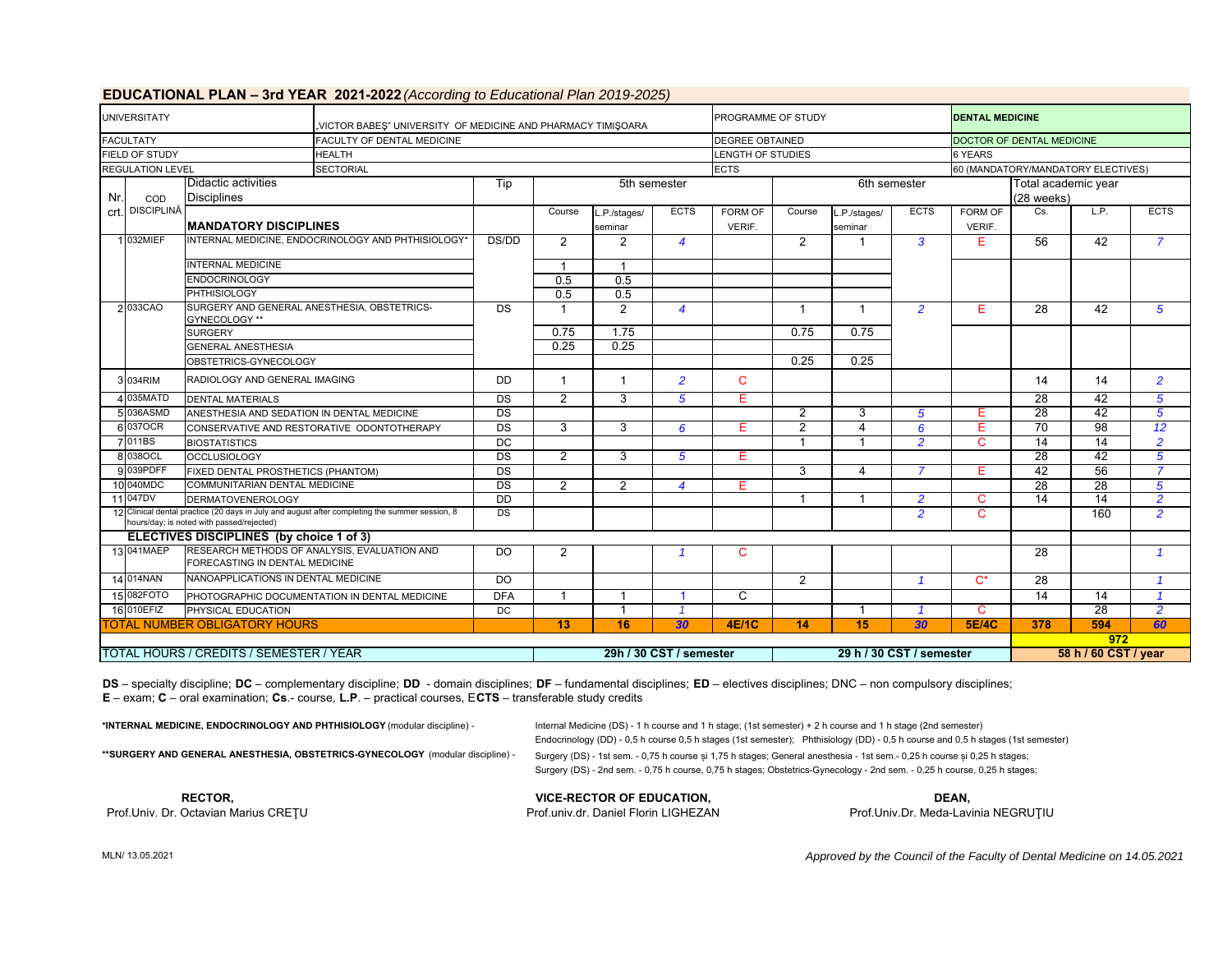|      | <b>UNIVERSITATY</b>                      |                                                              |                                                                                                | "VICTOR BABES" UNIVERSITY OF MEDICINE AND PHARMACY TIMISOARA |                 |                         |                          |                          |                         |                        |                      | <b>DENTAL MEDICINE</b>             |                 |                 |                         |  |  |
|------|------------------------------------------|--------------------------------------------------------------|------------------------------------------------------------------------------------------------|--------------------------------------------------------------|-----------------|-------------------------|--------------------------|--------------------------|-------------------------|------------------------|----------------------|------------------------------------|-----------------|-----------------|-------------------------|--|--|
|      | <b>FACULTATY</b>                         |                                                              | <b>FACULTY OF DENTAL MEDICINE</b>                                                              |                                                              |                 |                         |                          | <b>DEGREE OBTAINED</b>   |                         |                        |                      | DOCTOR OF DENTAL MEDICINE          |                 |                 |                         |  |  |
|      | <b>FIELD OF STUDY</b>                    |                                                              | <b>HEALTH</b>                                                                                  |                                                              |                 |                         |                          | <b>LENGTH OF STUDIES</b> |                         |                        |                      | 6 YEARS                            |                 |                 |                         |  |  |
|      | <b>REGULATION LEVEL</b>                  |                                                              | <b>SECTORIAL</b>                                                                               |                                                              |                 |                         |                          | <b>ECTS</b>              |                         |                        |                      | 60 (MANDATORY/MANDATORY ELECTIVES) |                 |                 |                         |  |  |
| Nr.  | COD                                      | Didactic activities<br><b>Disciplines</b>                    |                                                                                                | Tip                                                          |                 | 5th semester            |                          |                          |                         |                        | 6th semester         | Total academic year<br>(28 weeks)  |                 |                 |                         |  |  |
| crt. | <b>DISCIPLINĂ</b>                        | <b>MANDATORY DISCIPLINES</b>                                 |                                                                                                |                                                              | Course          | .P./stages/<br>seminar  | <b>ECTS</b>              | FORM OF<br>VERIF.        | Course                  | .P./stages/<br>seminar | <b>ECTS</b>          | FORM OF<br>VERIF.                  | Cs.             | L.P.            | <b>ECTS</b>             |  |  |
|      | 1 032MIEF                                |                                                              | INTERNAL MEDICINE. ENDOCRINOLOGY AND PHTHISIOLOGY*                                             |                                                              | $\overline{2}$  | $\overline{2}$          | $\overline{4}$           |                          | 2                       | 1                      | 3                    | Е                                  | 56              | 42              | $\overline{7}$          |  |  |
|      |                                          | <b>INTERNAL MEDICINE</b>                                     |                                                                                                |                                                              |                 | $\overline{1}$          |                          |                          |                         |                        |                      |                                    |                 |                 |                         |  |  |
|      |                                          | <b>ENDOCRINOLOGY</b>                                         |                                                                                                |                                                              | 0.5             | 0.5                     |                          |                          |                         |                        |                      |                                    |                 |                 |                         |  |  |
|      |                                          | <b>PHTHISIOLOGY</b>                                          |                                                                                                | 0.5                                                          | 0.5             |                         |                          |                          |                         |                        |                      |                                    |                 |                 |                         |  |  |
|      | 2033CAO                                  | SURGERY AND GENERAL ANESTHESIA, OBSTETRICS-<br>GYNECOLOGY ** |                                                                                                |                                                              |                 | $\overline{2}$          | $\overline{4}$           |                          | $\overline{1}$          | $\mathbf{1}$           | $\overline{2}$       | Е                                  | $\overline{28}$ | 42              | 5                       |  |  |
|      |                                          | <b>SURGERY</b>                                               |                                                                                                | 0.75                                                         | 1.75            |                         |                          | 0.75                     | 0.75                    |                        |                      |                                    |                 |                 |                         |  |  |
|      |                                          | <b>GENERAL ANESTHESIA</b>                                    |                                                                                                | 0.25                                                         | 0.25            |                         |                          |                          |                         |                        |                      |                                    |                 |                 |                         |  |  |
|      |                                          | OBSTETRICS-GYNECOLOGY                                        |                                                                                                |                                                              |                 |                         |                          |                          | 0.25                    | 0.25                   |                      |                                    |                 |                 |                         |  |  |
|      | 3 034RIM                                 | RADIOLOGY AND GENERAL IMAGING                                | DD                                                                                             |                                                              | $\mathbf{1}$    | $\overline{2}$          | $\mathbf{C}$             |                          |                         |                        |                      | 14                                 | 14              | $\overline{2}$  |                         |  |  |
|      | 4 035MATD                                | <b>DENTAL MATERIALS</b>                                      |                                                                                                | $\overline{DS}$                                              | $\overline{2}$  | 3                       | 5                        | E.                       |                         |                        |                      |                                    | 28              | 42              | 5                       |  |  |
|      | 5 036ASMD                                | ANESTHESIA AND SEDATION IN DENTAL MEDICINE                   |                                                                                                | <b>DS</b>                                                    |                 |                         |                          |                          | $\overline{2}$          | 3                      | 5                    | Е                                  | 28              | 42              | $\overline{5}$          |  |  |
|      | 6 037 OCR                                |                                                              | CONSERVATIVE AND RESTORATIVE ODONTOTHERAPY                                                     | $\overline{DS}$                                              | 3               | 3                       | 6                        | E.                       | $\overline{2}$          | 4                      | 6                    | Е                                  | 70              | 98              | 12                      |  |  |
|      | 7 011BS                                  | <b>BIOSTATISTICS</b>                                         |                                                                                                | $\overline{DC}$                                              |                 |                         |                          |                          | $\overline{\mathbf{1}}$ | $\mathbf{1}$           | $\overline{2}$       | C                                  | 14              | $\overline{14}$ | $\overline{2}$          |  |  |
|      | 8 038 OCL                                | <b>OCCLUSIOLOGY</b>                                          |                                                                                                | DS                                                           | 2               | 3                       | 5                        | E.                       |                         |                        |                      |                                    | 28              | 42              | 5                       |  |  |
|      | 9 039PDFF                                | FIXED DENTAL PROSTHETICS (PHANTOM)                           |                                                                                                | $\overline{DS}$                                              |                 |                         |                          |                          | $\overline{3}$          | $\overline{4}$         | $\overline{7}$       | Е                                  | 42              | 56              | $\overline{7}$          |  |  |
|      | 10 040MDC                                | COMMUNITARIAN DENTAL MEDICINE                                |                                                                                                | $\overline{DS}$                                              | $\overline{2}$  | $\overline{2}$          | $\overline{4}$           | E.                       |                         |                        |                      |                                    | 28              | 28              | 5                       |  |  |
|      | 11 047DV                                 | <b>DERMATOVENEROLOGY</b>                                     |                                                                                                | $\overline{DD}$                                              |                 |                         |                          |                          | 1                       | -1                     | $\overline{2}$       | C                                  | 14              | 14              | $\overline{2}$          |  |  |
|      |                                          | hours/day; is noted with passed/rejected)                    | 12 Clinical dental practice (20 days in July and august after completing the summer session, 8 | DS                                                           |                 |                         |                          |                          |                         |                        | $\overline{2}$       | $\mathsf{C}$                       |                 | 160             | $\overline{2}$          |  |  |
|      | ELECTIVES DISCIPLINES (by choice 1 of 3) |                                                              |                                                                                                |                                                              |                 |                         |                          |                          |                         |                        |                      |                                    |                 |                 |                         |  |  |
|      | 13 041MAEP                               | FORECASTING IN DENTAL MEDICINE                               | RESEARCH METHODS OF ANALYSIS, EVALUATION AND                                                   | <b>DO</b>                                                    | $\overline{2}$  |                         | $\overline{1}$           | C                        |                         |                        |                      |                                    | 28              |                 | $\mathbf{1}$            |  |  |
|      | 14 014NAN                                | NANOAPPLICATIONS IN DENTAL MEDICINE                          |                                                                                                | $\overline{D}$                                               |                 |                         |                          |                          | 2                       |                        | $\overline{1}$       | $C^*$                              | 28              |                 | $\overline{\mathbf{1}}$ |  |  |
|      | 15 082FOTO                               | PHOTOGRAPHIC DOCUMENTATION IN DENTAL MEDICINE                |                                                                                                | <b>DFA</b>                                                   |                 |                         |                          | $\overline{c}$           |                         |                        |                      |                                    | $\overline{14}$ | $\overline{14}$ | $\overline{\mathbf{1}}$ |  |  |
|      | 16 010EFIZ                               | PHYSICAL EDUCATION                                           |                                                                                                | <b>DC</b>                                                    |                 | -1                      |                          |                          |                         | -1                     | $\mathbf{1}$         | C                                  |                 | 28              | $\overline{2}$          |  |  |
|      |                                          | <b>TOTAL NUMBER OBLIGATORY HOURS</b>                         |                                                                                                |                                                              | $\overline{13}$ | 16                      | 30                       | <b>4E/1C</b>             | 14                      | 15                     | 30                   | <b>5E/4C</b>                       | 378             | 594             | 60                      |  |  |
|      |                                          |                                                              |                                                                                                |                                                              |                 |                         |                          |                          |                         |                        |                      | 972                                |                 |                 |                         |  |  |
|      |                                          | TOTAL HOURS / CREDITS / SEMESTER / YEAR                      |                                                                                                |                                                              |                 | 29h / 30 CST / semester | 29 h / 30 CST / semester |                          |                         |                        | 58 h / 60 CST / year |                                    |                 |                 |                         |  |  |

#### **EDUCATIONAL PLAN – 3rd YEAR 2021-2022** *(According to Educational Plan 2019-2025)*

**DS** – specialty discipline; **DC** – complementary discipline; **DD** - domain disciplines; **DF** – fundamental disciplines; **ED** – electives disciplines; DNC – non compulsory disciplines; **E** – exam; **C** – oral examination; **Cs**.- course, **L.P**. – practical courses, E**CTS** – transferable study credits

**\*INTERNAL MEDICINE, ENDOCRINOLOGY AND PHTHISIOLOGY** (modular discipline) - Internal Medicine (DS) - 1 h course and 1 h stage; (1st semester) + 2 h course and 1 h stage (2nd semester)

Endocrinology (DD) - 0,5 h course 0,5 h stages (1st semester); Phthisiology (DD) - 0,5 h course and 0,5 h stages (1st semester)

Surgery (DS) - 2nd sem. - 0,75 h course, 0,75 h stages; Obstetrics-Gynecology - 2nd sem. - 0,25 h course, 0,25 h stages;

\*\*SURGERY AND GENERAL ANESTHESIA, OBSTETRICS-GYNECOLOGY (modular discipline) - Surgery (DS) - 1st sem. - 0,75 h course și 1,75 h stages; General anesthesia - 1st sem. - 0,25 h course și 0,25 h stages;

**VICE-RECTOR OF EDUCATION, RECTOR, DEAN,**

Prof.Univ. Dr. Octavian Marius CREȚU Prof.univ.dr. Daniel Florin LIGHEZAN Prof.univ.Dr. Meda-Lavinia NEGRUȚIU

MLN/ 13.05.2021

*Approved by the Council of the Faculty of Dental Medicine on 14.05.2021*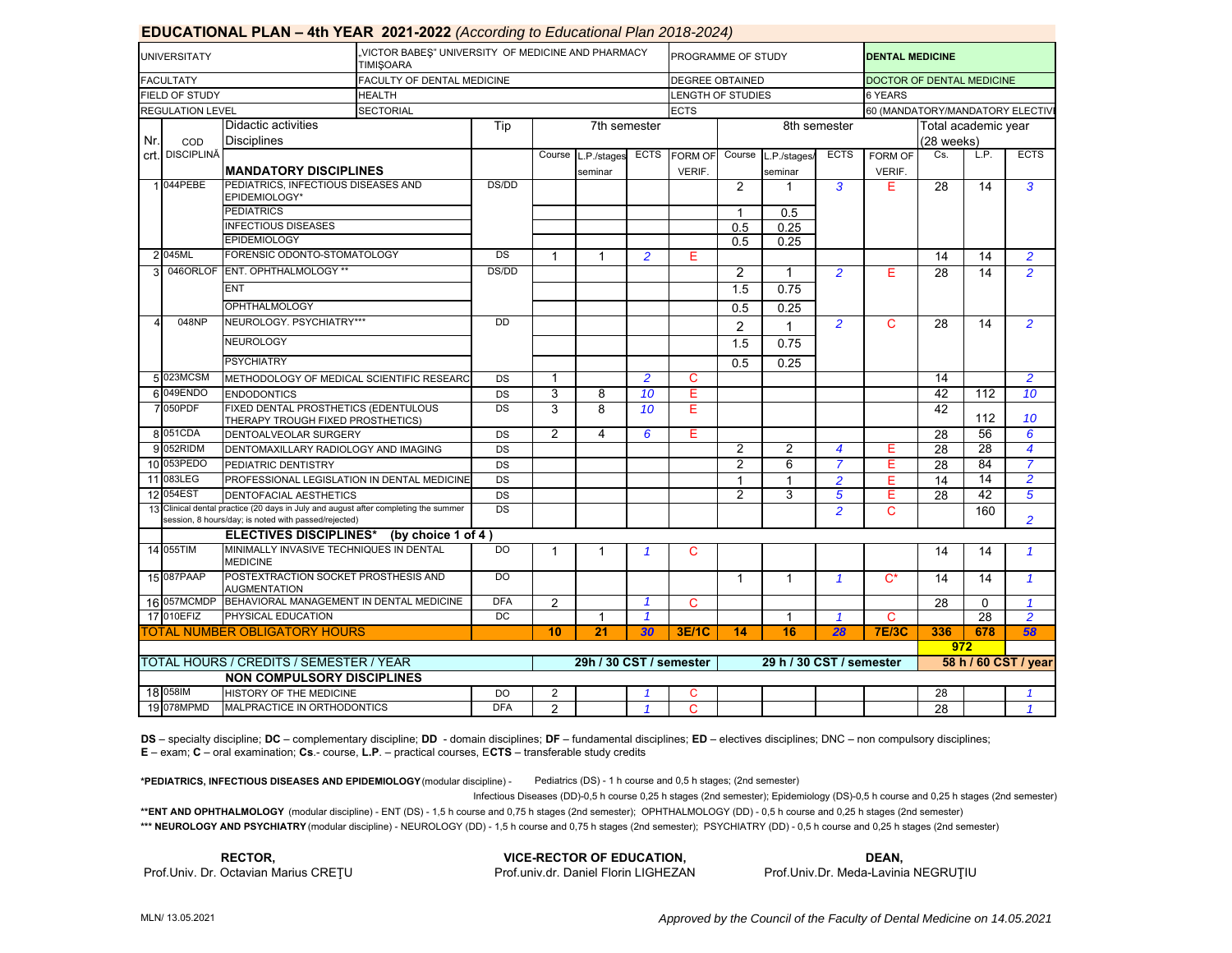|     |                         | <b>EDUCATIONAL FLAN – 401 TEAN 2021-2022</b> (ACCORDING 10 EQUCQUORDI FROM 2010-2024) |                                                                       |                     |                |                         |                         |                          |                |                |                |                                 |                 |                |                |  |  |
|-----|-------------------------|---------------------------------------------------------------------------------------|-----------------------------------------------------------------------|---------------------|----------------|-------------------------|-------------------------|--------------------------|----------------|----------------|----------------|---------------------------------|-----------------|----------------|----------------|--|--|
|     | <b>UNIVERSITATY</b>     |                                                                                       | VICTOR BABES" UNIVERSITY OF MEDICINE AND PHARMACY<br><b>TIMISOARA</b> |                     |                |                         |                         | PROGRAMME OF STUDY       |                |                |                | <b>DENTAL MEDICINE</b>          |                 |                |                |  |  |
|     | <b>FACULTATY</b>        |                                                                                       | FACULTY OF DENTAL MEDICINE                                            |                     |                |                         |                         | <b>DEGREE OBTAINED</b>   |                |                |                | DOCTOR OF DENTAL MEDICINE       |                 |                |                |  |  |
|     | FIELD OF STUDY          |                                                                                       | <b>HEALTH</b>                                                         |                     |                |                         |                         | LENGTH OF STUDIES        |                |                |                | <b>6 YEARS</b>                  |                 |                |                |  |  |
|     | <b>REGULATION LEVEL</b> |                                                                                       | <b>SECTORIAL</b>                                                      |                     |                |                         |                         | <b>ECTS</b>              |                |                |                | 60 (MANDATORY/MANDATORY ELECTIV |                 |                |                |  |  |
|     |                         | Didactic activities                                                                   |                                                                       | Tip<br>7th semester |                |                         |                         |                          |                |                | 8th semester   | Total academic year             |                 |                |                |  |  |
| Nr. | COD                     | <b>Disciplines</b>                                                                    |                                                                       |                     |                |                         |                         |                          |                |                | (28 weeks)     |                                 |                 |                |                |  |  |
|     | crt. DISCIPLINĂ         |                                                                                       |                                                                       |                     | Course         | L.P./stages             | <b>ECTS</b>             | <b>FORM OF</b>           | Course         | L.P./stages/   | <b>ECTS</b>    | <b>FORM OF</b>                  | Cs.             | L.P.           | <b>ECTS</b>    |  |  |
|     |                         | <b>IMANDATORY DISCIPLINES</b>                                                         |                                                                       |                     |                | seminar                 |                         | VERIF.                   |                | seminar        |                | VERIF.                          |                 |                |                |  |  |
|     | 1 044 PEBE              | PEDIATRICS. INFECTIOUS DISEASES AND                                                   |                                                                       | DS/DD               |                |                         |                         |                          | 2              | 1              | 3              | Е                               | 28              | 14             | 3              |  |  |
|     |                         | EPIDEMIOLOGY*                                                                         |                                                                       |                     |                |                         |                         |                          |                |                |                |                                 |                 |                |                |  |  |
|     |                         | <b>PEDIATRICS</b>                                                                     |                                                                       |                     |                |                         |                         |                          | $\mathbf{1}$   | 0.5            |                |                                 |                 |                |                |  |  |
|     |                         | <b>INFECTIOUS DISEASES</b>                                                            |                                                                       |                     |                |                         |                         |                          | 0.5            | 0.25           |                |                                 |                 |                |                |  |  |
|     |                         | <b>EPIDEMIOLOGY</b>                                                                   |                                                                       |                     |                |                         |                         |                          | 0.5            | 0.25           |                |                                 |                 |                |                |  |  |
|     | 2 045ML                 | FORENSIC ODONTO-STOMATOLOGY                                                           |                                                                       | DS                  |                |                         | $\overline{2}$          | E                        |                |                |                |                                 | 14              | 14             | $\overline{2}$ |  |  |
| 3   |                         | 046ORLOF ENT. OPHTHALMOLOGY **                                                        |                                                                       | DS/DD               |                |                         |                         |                          | 2              | 1              | $\overline{2}$ | Е                               | 28              | 14             | $\overline{2}$ |  |  |
|     |                         | <b>ENT</b>                                                                            |                                                                       |                     |                |                         |                         | 1.5                      | 0.75           |                |                |                                 |                 |                |                |  |  |
|     |                         | <b>OPHTHALMOLOGY</b>                                                                  |                                                                       |                     |                |                         |                         |                          | 0.5            | 0.25           |                |                                 |                 |                |                |  |  |
|     | 048NP                   | NEUROLOGY, PSYCHIATRY***                                                              | <b>DD</b>                                                             |                     |                |                         |                         | $\overline{2}$           | 1              | $\overline{2}$ | C              | 28                              | 14              | $\overline{2}$ |                |  |  |
|     |                         | <b>NEUROLOGY</b><br><b>PSYCHIATRY</b>                                                 |                                                                       |                     |                |                         |                         |                          | 1.5            | 0.75           |                |                                 |                 |                |                |  |  |
|     |                         |                                                                                       |                                                                       |                     |                |                         |                         |                          | 0.5            | 0.25           |                |                                 |                 |                |                |  |  |
|     | 5 023MCSM               | METHODOLOGY OF MEDICAL SCIENTIFIC RESEARC                                             |                                                                       | DS                  | 1              |                         | $\overline{2}$          | C                        |                |                |                |                                 | 14              |                | $\overline{2}$ |  |  |
|     | 6 049ENDO               | <b>ENDODONTICS</b>                                                                    |                                                                       | DS                  | 3              | 8                       | 10                      | E                        |                |                |                |                                 | 42              | 112            | 10             |  |  |
|     | 7050PDF                 | FIXED DENTAL PROSTHETICS (EDENTULOUS<br>THERAPY TROUGH FIXED PROSTHETICS)             |                                                                       | DS                  | 3              | 8                       | 10                      | Е                        |                |                |                |                                 | 42              | 112            | 10             |  |  |
|     | 8 051 CDA               | DENTOALVEOLAR SURGERY                                                                 |                                                                       | DS                  | $\overline{2}$ | 4                       | 6                       | E.                       |                |                |                |                                 | 28              | 56             | 6              |  |  |
|     | 9 052RIDM               | DENTOMAXILLARY RADIOLOGY AND IMAGING                                                  |                                                                       | DS                  |                |                         |                         |                          | $\overline{2}$ | $\overline{2}$ | 4              | Е                               | 28              | 28             | 4              |  |  |
|     | 10 053PEDO              | PEDIATRIC DENTISTRY                                                                   |                                                                       | DS                  |                |                         |                         |                          | 2              | 6              | 7              | Ε                               | $\overline{28}$ | 84             | 7              |  |  |
|     | 11 083LEG               | PROFESSIONAL LEGISLATION IN DENTAL MEDICINE                                           |                                                                       | DS                  |                |                         |                         |                          | -1             | 1              | $\overline{2}$ | Е                               | 14              | 14             | $\overline{2}$ |  |  |
|     | 12 054EST               | DENTOFACIAL AESTHETICS                                                                |                                                                       | DS                  |                |                         |                         |                          | $\overline{2}$ | 3              | 5              | Ε                               | $\overline{28}$ | 42             | 5              |  |  |
|     |                         | 13 Clinical dental practice (20 days in July and august after completing the summer   |                                                                       | DS                  |                |                         |                         |                          |                |                | $\overline{a}$ | C                               |                 | 160            |                |  |  |
|     |                         | session, 8 hours/day; is noted with passed/rejected)                                  |                                                                       |                     |                |                         |                         |                          |                |                |                |                                 |                 |                | $\overline{2}$ |  |  |
|     |                         | <b>ELECTIVES DISCIPLINES*</b>                                                         | (by choice $1$ of $4$ )                                               |                     |                |                         |                         |                          |                |                |                |                                 |                 |                |                |  |  |
|     | 14 055TIM               | MINIMALLY INVASIVE TECHNIQUES IN DENTAL<br><b>MEDICINE</b>                            |                                                                       | DO.                 | 1              | $\mathbf 1$             | $\overline{\mathbf{1}}$ | C                        |                |                |                |                                 | 14              | 14             | $\mathbf{1}$   |  |  |
|     | 15 087 PAAP             | POSTEXTRACTION SOCKET PROSTHESIS AND<br><b>AUGMENTATION</b>                           |                                                                       | D <sub>O</sub>      |                |                         |                         |                          | $\mathbf{1}$   | $\mathbf{1}$   | $\mathbf{1}$   | $C^*$                           | 14              | 14             | $\mathbf{1}$   |  |  |
|     | 16 057MCMDP             | BEHAVIORAL MANAGEMENT IN DENTAL MEDICINE                                              |                                                                       | <b>DFA</b>          | $\overline{2}$ |                         | $\mathcal I$            | C                        |                |                |                |                                 | 28              | $\Omega$       | $\mathbf{1}$   |  |  |
|     | 17 010EFIZ              | PHYSICAL EDUCATION                                                                    |                                                                       | <b>DC</b>           |                | -1                      | $\mathcal I$            |                          |                | 1              | 1              | C                               |                 | 28             | $\overline{2}$ |  |  |
|     |                         | <b>FOTAL NUMBER OBLIGATORY HOURS</b>                                                  |                                                                       | 10                  | 21             | 30                      | <b>3E/1C</b>            | 14                       | 16             | 28             | <b>7E/3C</b>   | 336                             | 678             | 58             |                |  |  |
|     |                         |                                                                                       |                                                                       |                     |                |                         |                         |                          |                |                |                |                                 | 972             |                |                |  |  |
|     |                         | TOTAL HOURS / CREDITS / SEMESTER / YEAR                                               |                                                                       |                     |                | 29h / 30 CST / semester |                         | 29 h / 30 CST / semester |                |                |                | 58 h / 60 CST / year            |                 |                |                |  |  |
|     |                         | <b>NON COMPULSORY DISCIPLINES</b>                                                     |                                                                       |                     |                |                         |                         |                          |                |                |                |                                 |                 |                |                |  |  |
|     | 18 058IM                | HISTORY OF THE MEDICINE                                                               |                                                                       | DO                  | $\overline{2}$ |                         |                         | C                        |                |                |                |                                 | 28              |                |                |  |  |
|     | 19 078MPMD              | MALPRACTICE IN ORTHODONTICS                                                           |                                                                       | <b>DFA</b>          | $\overline{2}$ |                         | $\overline{1}$          | C                        |                |                |                |                                 | 28              |                | $\mathbf{1}$   |  |  |

## **EDUCATIONAL PLAN – 4th YEAR 2021-2022** *(According to Educational Plan 2018-2024)*

**DS** – specialty discipline; **DC** – complementary discipline; **DD** - domain disciplines; **DF** – fundamental disciplines; **ED** – electives disciplines; DNC – non compulsory disciplines; **E** – exam; **C** – oral examination; **Cs**.- course, **L.P**. – practical courses, E**CTS** – transferable study credits

**\*PEDIATRICS, INFECTIOUS DISEASES AND EPIDEMIOLOGY** (modular discipline) - Pediatrics (DS) - 1 h course and 0,5 h stages; (2nd semester)

Infectious Diseases (DD)-0,5 h course 0,25 h stages (2nd semester); Epidemiology (DS)-0,5 h course and 0,25 h stages (2nd semester)

**\*\*ENT AND OPHTHALMOLOGY** (modular discipline) - ENT (DS) - 1,5 h course and 0,75 h stages (2nd semester); OPHTHALMOLOGY (DD) - 0,5 h course and 0,25 h stages (2nd semester) \*\*\* NEUROLOGY AND PSYCHIATRY (modular discipline) - NEUROLOGY (DD) - 1,5 h course and 0,75 h stages (2nd semester); PSYCHIATRY (DD) - 0,5 h course and 0,25 h stages (2nd semester)

**RECTOR,**

**VICE-RECTOR OF EDUCATION,** Prof.Univ. Dr. Octavian Marius CREȚU Prof.univ.dr. Daniel Florin LIGHEZAN **DEAN,**

Prof.Univ.Dr. Meda-Lavinia NEGRUŢIU

*Approved by the Council of the Faculty of Dental Medicine on 14.05.2021*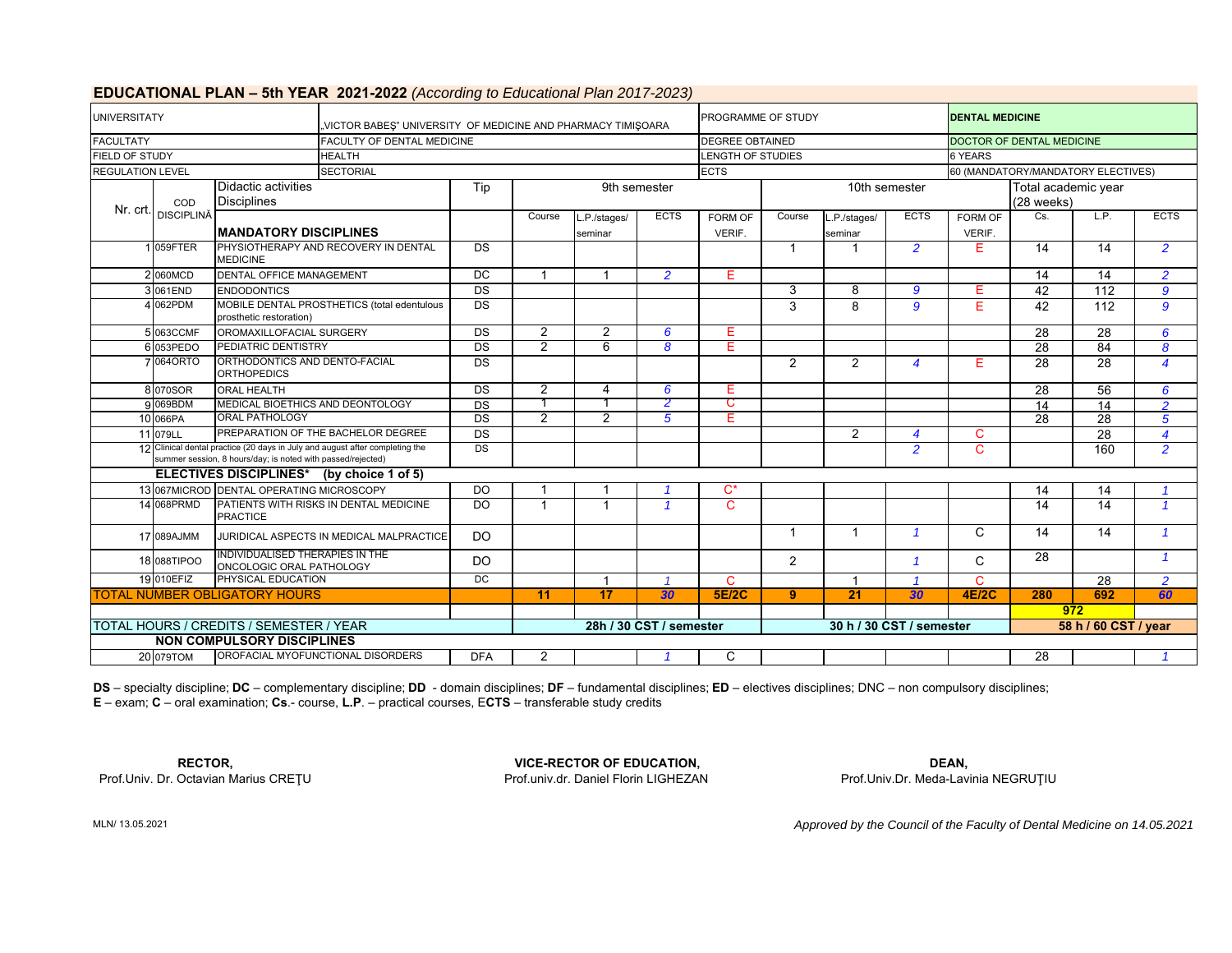|                                            |                                  |                                                             | <b>POSATIONAL LEAN VOLLEAIX LOLLEALL</b> TWOOD ONLY TO LOCOGIONAL TRILED IT LOLD, |                 |                |                         |                  |                          |               |                |                  |                                    |                 |                  |                          |  |
|--------------------------------------------|----------------------------------|-------------------------------------------------------------|-----------------------------------------------------------------------------------|-----------------|----------------|-------------------------|------------------|--------------------------|---------------|----------------|------------------|------------------------------------|-----------------|------------------|--------------------------|--|
| <b>UNIVERSITATY</b>                        |                                  |                                                             | "VICTOR BABEŞ" UNIVERSITY OF MEDICINE AND PHARMACY TIMIŞOARA                      |                 |                |                         |                  | PROGRAMME OF STUDY       |               |                |                  | <b>DENTAL MEDICINE</b>             |                 |                  |                          |  |
| <b>FACULTATY</b>                           |                                  |                                                             | FACULTY OF DENTAL MEDICINE                                                        |                 |                |                         |                  | <b>DEGREE OBTAINED</b>   |               |                |                  | <b>DOCTOR OF DENTAL MEDICINE</b>   |                 |                  |                          |  |
| <b>FIELD OF STUDY</b>                      |                                  |                                                             | <b>HEALTH</b>                                                                     |                 |                |                         |                  | LENGTH OF STUDIES        |               |                |                  | <b>6 YEARS</b>                     |                 |                  |                          |  |
| <b>REGULATION LEVEL</b>                    |                                  |                                                             | <b>SECTORIAL</b>                                                                  |                 |                |                         |                  | <b>ECTS</b>              |               |                |                  | 60 (MANDATORY/MANDATORY ELECTIVES) |                 |                  |                          |  |
|                                            |                                  | Didactic activities                                         | Tip                                                                               |                 | 9th semester   |                         |                  |                          | 10th semester |                |                  | Total academic year                |                 |                  |                          |  |
|                                            | COD                              | <b>Disciplines</b>                                          |                                                                                   |                 |                |                         |                  |                          |               |                |                  |                                    | $(28$ weeks)    |                  |                          |  |
| Nr. crt.                                   | <b>DISCIPLINĂ</b>                |                                                             |                                                                                   |                 | Course         | L.P./stages/            | <b>ECTS</b>      | FORM OF                  | Course        | L.P./stages/   | <b>ECTS</b>      | FORM OF                            | Cs.             | L.P.             | <b>ECTS</b>              |  |
|                                            |                                  | <b>MANDATORY DISCIPLINES</b>                                |                                                                                   |                 |                | seminar                 |                  | VERIF.                   |               | seminar        |                  | VERIF.                             |                 |                  |                          |  |
|                                            | 059FTER                          | <b>MEDICINE</b>                                             | PHYSIOTHERAPY AND RECOVERY IN DENTAL                                              | <b>DS</b>       |                |                         |                  |                          | -1            |                | $\overline{2}$   | Е                                  | 14              | 14               | $\overline{2}$           |  |
| <b>DENTAL OFFICE MANAGEMENT</b><br>2060MCD |                                  |                                                             | DC                                                                                | $\overline{1}$  |                | $\mathcal{P}$           | F.               |                          |               |                |                  | $\overline{14}$                    | $\overline{14}$ | $\overline{2}$   |                          |  |
| 3061END<br><b>ENDODONTICS</b>              |                                  |                                                             |                                                                                   | <b>DS</b>       |                |                         |                  |                          | 3             | 8              | 9                | F                                  | 42              | 112              | $\boldsymbol{g}$         |  |
|                                            | 4 062PDM                         | prosthetic restoration)                                     | MOBILE DENTAL PROSTHETICS (total edentulous                                       | DS              |                |                         |                  |                          | 3             | 8              | 9                | E                                  | 42              | $\overline{112}$ | 9                        |  |
|                                            | 5 063CCMF                        | OROMAXILLOFACIAL SURGERY                                    |                                                                                   | DS              | $\overline{2}$ | $\overline{2}$          | 6                | Е                        |               |                |                  |                                    | $\overline{28}$ | $\overline{28}$  | 6                        |  |
|                                            | PEDIATRIC DENTISTRY<br>6 053PEDO |                                                             |                                                                                   | DS              | $\overline{2}$ | 6                       | $\boldsymbol{8}$ | Е                        |               |                |                  |                                    | $\overline{28}$ | 84               | 8                        |  |
|                                            | 7 064 ORTO                       | ORTHODONTICS AND DENTO-FACIAL<br><b>ORTHOPEDICS</b>         |                                                                                   | DS              |                |                         |                  |                          | $\mathcal{P}$ | 2              | $\boldsymbol{4}$ | E.                                 | $\overline{28}$ | $\overline{28}$  | $\overline{\mathbf{4}}$  |  |
|                                            | <b>ORAL HEALTH</b><br>8 070SOR   |                                                             |                                                                                   | <b>DS</b>       | $\overline{2}$ | Δ                       | 6                | E.                       |               |                |                  |                                    | $\overline{28}$ | $\overline{56}$  | 6                        |  |
|                                            | 9 069BDM                         | MEDICAL BIOETHICS AND DEONTOLOGY                            |                                                                                   | $\overline{DS}$ |                |                         | 2                | С                        |               |                |                  |                                    | $\overline{14}$ | $\overline{14}$  | $\overline{2}$           |  |
|                                            | 10 066PA                         | <b>ORAL PATHOLOGY</b>                                       |                                                                                   | $\overline{DS}$ | $\overline{2}$ | $\overline{2}$          | 5                | Е                        |               |                |                  |                                    | 28              | 28               | 5                        |  |
|                                            | 11 079LL                         |                                                             | PREPARATION OF THE BACHELOR DEGREE                                                | $\overline{DS}$ |                |                         |                  |                          |               | $\overline{2}$ | $\boldsymbol{4}$ | $\mathsf{C}$                       |                 | $\overline{28}$  | $\overline{\mathcal{A}}$ |  |
|                                            |                                  | summer session, 8 hours/day; is noted with passed/rejected) | 12 Clinical dental practice (20 days in July and august after completing the      | DS              |                |                         |                  |                          |               |                | $\overline{2}$   | C.                                 |                 | 160              | $\overline{2}$           |  |
|                                            |                                  |                                                             | ELECTIVES DISCIPLINES* (by choice 1 of 5)                                         |                 |                |                         |                  |                          |               |                |                  |                                    |                 |                  |                          |  |
|                                            |                                  | 13 067MICROD DENTAL OPERATING MICROSCOPY                    |                                                                                   | DO              |                |                         |                  | $C^*$                    |               |                |                  |                                    | 14              | 14               |                          |  |
|                                            | 14 068PRMD                       | <b>PRACTICE</b>                                             | PATIENTS WITH RISKS IN DENTAL MEDICINE                                            | $\overline{D}$  | $\overline{1}$ |                         |                  | $\mathbf C$              |               |                |                  |                                    | 14              | 14               | $\overline{1}$           |  |
|                                            | 17 089AJMM                       |                                                             | JURIDICAL ASPECTS IN MEDICAL MALPRACTICE                                          | <b>DO</b>       |                |                         |                  |                          | $\mathbf{1}$  | $\overline{1}$ | $\overline{1}$   | $\mathsf{C}$                       | 14              | 14               | $\overline{1}$           |  |
|                                            | 18 088TIPOO                      | INDIVIDUALISED THERAPIES IN THE<br>ONCOLOGIC ORAL PATHOLOGY |                                                                                   | <b>DO</b>       |                |                         |                  |                          | 2             |                |                  | C                                  | $\overline{28}$ |                  | $\mathbf{1}$             |  |
|                                            | 19 010EFIZ                       | PHYSICAL EDUCATION                                          |                                                                                   | DC              |                |                         |                  | C.                       |               | $\overline{1}$ |                  | C.                                 |                 | $\overline{28}$  | $\overline{2}$           |  |
|                                            |                                  | <b>TOTAL NUMBER OBLIGATORY HOURS</b>                        |                                                                                   |                 | 11             | $\overline{17}$         | 30               | <b>5E/2C</b>             | 9             | 21             | 30               | <b>4E/2C</b>                       | 280             | 692              | 60                       |  |
|                                            |                                  |                                                             |                                                                                   |                 |                |                         |                  |                          |               |                |                  |                                    |                 | 972              |                          |  |
|                                            |                                  | TOTAL HOURS / CREDITS / SEMESTER / YEAR                     |                                                                                   |                 |                | 28h / 30 CST / semester |                  | 30 h / 30 CST / semester |               |                |                  | 58 h / 60 CST / year               |                 |                  |                          |  |
|                                            |                                  | <b>NON COMPULSORY DISCIPLINES</b>                           |                                                                                   |                 |                |                         |                  |                          |               |                |                  |                                    |                 |                  |                          |  |
|                                            | 20 079TOM                        |                                                             | OROFACIAL MYOFUNCTIONAL DISORDERS                                                 | <b>DFA</b>      | 2              |                         |                  | C                        |               |                |                  |                                    | $\overline{28}$ |                  |                          |  |

#### **EDUCATIONAL PLAN – 5th YEAR 2021-2022** *(According to Educational Plan 2017-2023)*

**DS** – specialty discipline; **DC** – complementary discipline; **DD** - domain disciplines; **DF** – fundamental disciplines; **ED** – electives disciplines; DNC – non compulsory disciplines; **E** – exam; **C** – oral examination; **Cs**.- course, **L.P**. – practical courses, E**CTS** – transferable study credits

Prof.Univ. Dr. Octavian Marius CREŢU Prof.univ.dr. Daniel Florin LIGHEZAN Prof.Univ.Dr. Meda-Lavinia NEGRUŢIU

**VICE-RECTOR OF EDUCATION, RECTOR, DEAN,**

*Approved by the Council of the Faculty of Dental Medicine on 14.05.2021*

MLN/ 13.05.2021